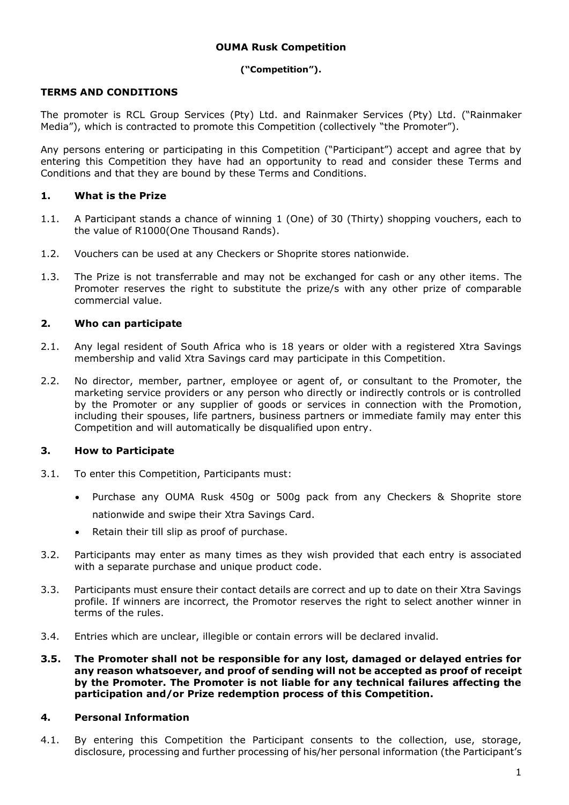# **OUMA Rusk Competition**

#### **("Competition").**

## **TERMS AND CONDITIONS**

The promoter is RCL Group Services (Pty) Ltd. and Rainmaker Services (Pty) Ltd. ("Rainmaker Media"), which is contracted to promote this Competition (collectively "the Promoter").

Any persons entering or participating in this Competition ("Participant") accept and agree that by entering this Competition they have had an opportunity to read and consider these Terms and Conditions and that they are bound by these Terms and Conditions.

## **1. What is the Prize**

- 1.1. A Participant stands a chance of winning 1 (One) of 30 (Thirty) shopping vouchers, each to the value of R1000(One Thousand Rands).
- 1.2. Vouchers can be used at any Checkers or Shoprite stores nationwide.
- 1.3. The Prize is not transferrable and may not be exchanged for cash or any other items. The Promoter reserves the right to substitute the prize/s with any other prize of comparable commercial value.

## **2. Who can participate**

- 2.1. Any legal resident of South Africa who is 18 years or older with a registered Xtra Savings membership and valid Xtra Savings card may participate in this Competition.
- 2.2. No director, member, partner, employee or agent of, or consultant to the Promoter, the marketing service providers or any person who directly or indirectly controls or is controlled by the Promoter or any supplier of goods or services in connection with the Promotion, including their spouses, life partners, business partners or immediate family may enter this Competition and will automatically be disqualified upon entry.

# **3. How to Participate**

- 3.1. To enter this Competition, Participants must:
	- Purchase any OUMA Rusk 450g or 500g pack from any Checkers & Shoprite store nationwide and swipe their Xtra Savings Card.
	- Retain their till slip as proof of purchase.
- 3.2. Participants may enter as many times as they wish provided that each entry is associated with a separate purchase and unique product code.
- 3.3. Participants must ensure their contact details are correct and up to date on their Xtra Savings profile. If winners are incorrect, the Promotor reserves the right to select another winner in terms of the rules.
- 3.4. Entries which are unclear, illegible or contain errors will be declared invalid.
- **3.5. The Promoter shall not be responsible for any lost, damaged or delayed entries for any reason whatsoever, and proof of sending will not be accepted as proof of receipt by the Promoter. The Promoter is not liable for any technical failures affecting the participation and/or Prize redemption process of this Competition.**

#### **4. Personal Information**

4.1. By entering this Competition the Participant consents to the collection, use, storage, disclosure, processing and further processing of his/her personal information (the Participant's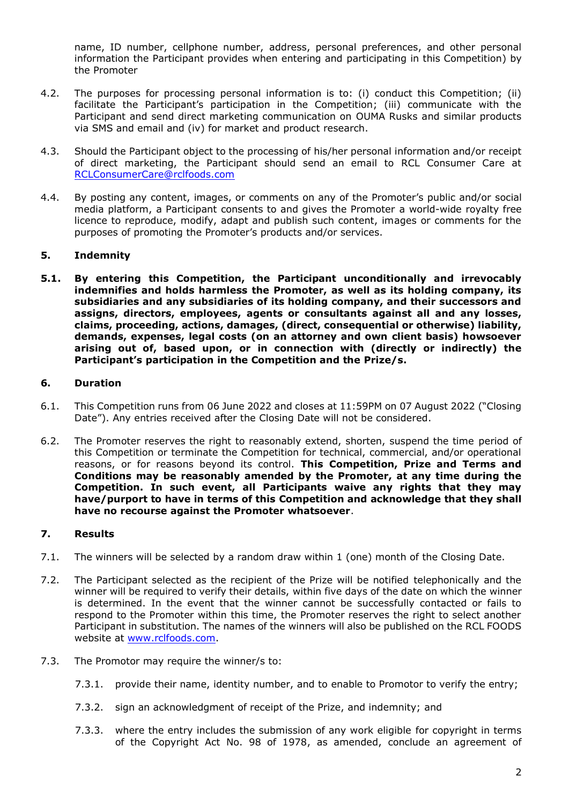name, ID number, cellphone number, address, personal preferences, and other personal information the Participant provides when entering and participating in this Competition) by the Promoter

- 4.2. The purposes for processing personal information is to: (i) conduct this Competition; (ii) facilitate the Participant's participation in the Competition; (iii) communicate with the Participant and send direct marketing communication on OUMA Rusks and similar products via SMS and email and (iv) for market and product research.
- 4.3. Should the Participant object to the processing of his/her personal information and/or receipt of direct marketing, the Participant should send an email to RCL Consumer Care at [RCLConsumerCare@rclfoods.com](mailto:RCLConsumerCare@rclfoods.com)
- 4.4. By posting any content, images, or comments on any of the Promoter's public and/or social media platform, a Participant consents to and gives the Promoter a world-wide royalty free licence to reproduce, modify, adapt and publish such content, images or comments for the purposes of promoting the Promoter's products and/or services.

# **5. Indemnity**

**5.1. By entering this Competition, the Participant unconditionally and irrevocably indemnifies and holds harmless the Promoter, as well as its holding company, its subsidiaries and any subsidiaries of its holding company, and their successors and assigns, directors, employees, agents or consultants against all and any losses, claims, proceeding, actions, damages, (direct, consequential or otherwise) liability, demands, expenses, legal costs (on an attorney and own client basis) howsoever arising out of, based upon, or in connection with (directly or indirectly) the Participant's participation in the Competition and the Prize/s.**

# **6. Duration**

- 6.1. This Competition runs from 06 June 2022 and closes at 11:59PM on 07 August 2022 ("Closing Date"). Any entries received after the Closing Date will not be considered.
- 6.2. The Promoter reserves the right to reasonably extend, shorten, suspend the time period of this Competition or terminate the Competition for technical, commercial, and/or operational reasons, or for reasons beyond its control. **This Competition, Prize and Terms and Conditions may be reasonably amended by the Promoter, at any time during the Competition. In such event, all Participants waive any rights that they may have/purport to have in terms of this Competition and acknowledge that they shall have no recourse against the Promoter whatsoever**.

# **7. Results**

- 7.1. The winners will be selected by a random draw within 1 (one) month of the Closing Date.
- 7.2. The Participant selected as the recipient of the Prize will be notified telephonically and the winner will be required to verify their details, within five days of the date on which the winner is determined. In the event that the winner cannot be successfully contacted or fails to respond to the Promoter within this time, the Promoter reserves the right to select another Participant in substitution. The names of the winners will also be published on the RCL FOODS website at [www.rclfoods.com.](http://www.rclfoods.com/)
- 7.3. The Promotor may require the winner/s to:
	- 7.3.1. provide their name, identity number, and to enable to Promotor to verify the entry;
	- 7.3.2. sign an acknowledgment of receipt of the Prize, and indemnity; and
	- 7.3.3. where the entry includes the submission of any work eligible for copyright in terms of the Copyright Act No. 98 of 1978, as amended, conclude an agreement of